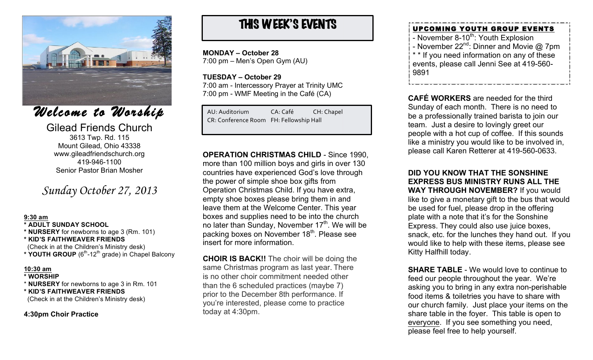

*Welcome to Worship* 

Gilead Friends Church<br><sup>3613 Twp. Rd. 115</sup> Mount Gilead, Ohio 43338 www.gileadfriendschurch.org 419-946-1100 Senior Pastor Brian Mosher

## *Sunday October 27, 2013*

### **9:30 am**

- **\* ADULT SUNDAY SCHOOL**
- **\* NURSERY** for newborns to age 3 (Rm. 101)
- **\* KID'S FAITHWEAVER FRIENDS**
- (Check in at the Children's Ministry desk)
- \* **YOUTH GROUP** (6<sup>th</sup>-12<sup>th</sup> grade) in Chapel Balcony

### **10:30 am**

#### **\* WORSHIP**

\* **NURSERY** for newborns to age 3 in Rm. 101

### **\* KID'S FAITHWEAVER FRIENDS**

(Check in at the Children's Ministry desk)

### **4:30pm Choir Practice**

# THIS WEEK'S EVENTS

**MONDAY – October 28** 7:00 pm – Men's Open Gym (AU)

**TUESDAY – October 29** 7:00 am - Intercessory Prayer at Trinity UMC 7:00 pm - WMF Meeting in the Café (CA)

AU: Auditorium CA: Café CH: Chapel CR: Conference Room FH: Fellowship Hall

**OPERATION CHRISTMAS CHILD - Since 1990.** more than 100 million boys and girls in over 130 countries have experienced God's love through the power of simple shoe box gifts from Operation Christmas Child. If you have extra, empty shoe boxes please bring them in and leave them at the Welcome Center. This year boxes and supplies need to be into the church no later than Sunday, November  $17<sup>th</sup>$ . We will be packing boxes on November 18<sup>th</sup>. Please see insert for more information.

**CHOIR IS BACK!!** The choir will be doing the same Christmas program as last year. There is no other choir commitment needed other than the 6 scheduled practices (maybe 7) prior to the December 8th performance. If you're interested, please come to practice today at 4:30pm.

## UPCOMING YOUTH GROUP EVENTS - November 8-10 $th$ : Youth Explosion - November  $22^{nd}$ : Dinner and Movie  $@$  7pm \* \* If you need information on any of these events, please call Jenni See at 419-560- 9891

**CAFÉ WORKERS** are needed for the third Sunday of each month. There is no need to be a professionally trained barista to join our team. Just a desire to lovingly greet our people with a hot cup of coffee. If this sounds like a ministry you would like to be involved in, please call Karen Retterer at 419-560-0633.

**DID YOU KNOW THAT THE SONSHINE EXPRESS BUS MINISTRY RUNS ALL THE WAY THROUGH NOVEMBER?** If you would like to give a monetary gift to the bus that would be used for fuel, please drop in the offering plate with a note that it's for the Sonshine Express. They could also use juice boxes, snack, etc. for the lunches they hand out. If you would like to help with these items, please see Kitty Halfhill today.

**SHARE TABLE** - We would love to continue to feed our people throughout the year. We're asking you to bring in any extra non-perishable food items & toiletries you have to share with our church family. Just place your items on the share table in the foyer. This table is open to everyone. If you see something you need, please feel free to help yourself.